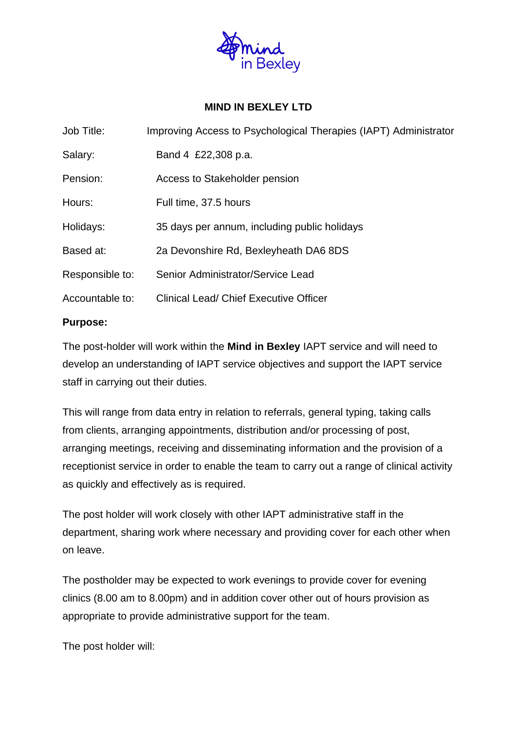

# **MIND IN BEXLEY LTD**

| Job Title:      | Improving Access to Psychological Therapies (IAPT) Administrator |
|-----------------|------------------------------------------------------------------|
| Salary:         | Band 4 £22,308 p.a.                                              |
| Pension:        | Access to Stakeholder pension                                    |
| Hours:          | Full time, 37.5 hours                                            |
| Holidays:       | 35 days per annum, including public holidays                     |
| Based at:       | 2a Devonshire Rd, Bexleyheath DA6 8DS                            |
| Responsible to: | Senior Administrator/Service Lead                                |
| Accountable to: | Clinical Lead/ Chief Executive Officer                           |

## **Purpose:**

The post-holder will work within the **Mind in Bexley** IAPT service and will need to develop an understanding of IAPT service objectives and support the IAPT service staff in carrying out their duties.

This will range from data entry in relation to referrals, general typing, taking calls from clients, arranging appointments, distribution and/or processing of post, arranging meetings, receiving and disseminating information and the provision of a receptionist service in order to enable the team to carry out a range of clinical activity as quickly and effectively as is required.

The post holder will work closely with other IAPT administrative staff in the department, sharing work where necessary and providing cover for each other when on leave.

The postholder may be expected to work evenings to provide cover for evening clinics (8.00 am to 8.00pm) and in addition cover other out of hours provision as appropriate to provide administrative support for the team.

The post holder will: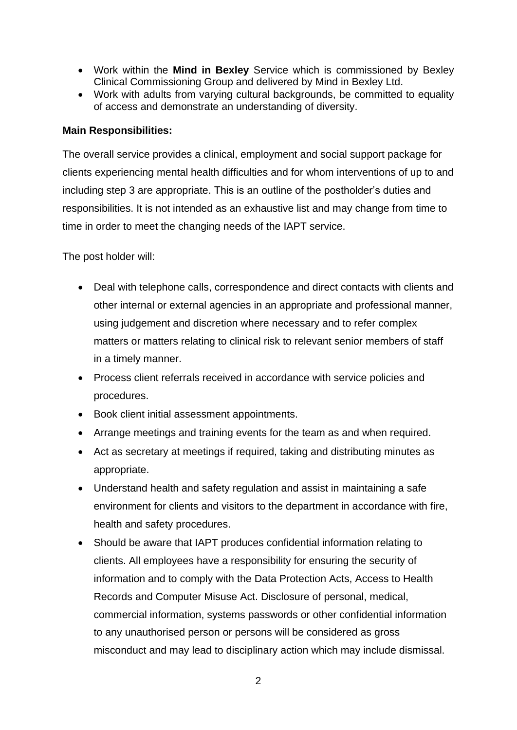- Work within the **Mind in Bexley** Service which is commissioned by Bexley Clinical Commissioning Group and delivered by Mind in Bexley Ltd.
- Work with adults from varying cultural backgrounds, be committed to equality of access and demonstrate an understanding of diversity.

#### **Main Responsibilities:**

The overall service provides a clinical, employment and social support package for clients experiencing mental health difficulties and for whom interventions of up to and including step 3 are appropriate. This is an outline of the postholder's duties and responsibilities. It is not intended as an exhaustive list and may change from time to time in order to meet the changing needs of the IAPT service.

The post holder will:

- Deal with telephone calls, correspondence and direct contacts with clients and other internal or external agencies in an appropriate and professional manner, using judgement and discretion where necessary and to refer complex matters or matters relating to clinical risk to relevant senior members of staff in a timely manner.
- Process client referrals received in accordance with service policies and procedures.
- Book client initial assessment appointments.
- Arrange meetings and training events for the team as and when required.
- Act as secretary at meetings if required, taking and distributing minutes as appropriate.
- Understand health and safety regulation and assist in maintaining a safe environment for clients and visitors to the department in accordance with fire, health and safety procedures.
- Should be aware that IAPT produces confidential information relating to clients. All employees have a responsibility for ensuring the security of information and to comply with the Data Protection Acts, Access to Health Records and Computer Misuse Act. Disclosure of personal, medical, commercial information, systems passwords or other confidential information to any unauthorised person or persons will be considered as gross misconduct and may lead to disciplinary action which may include dismissal.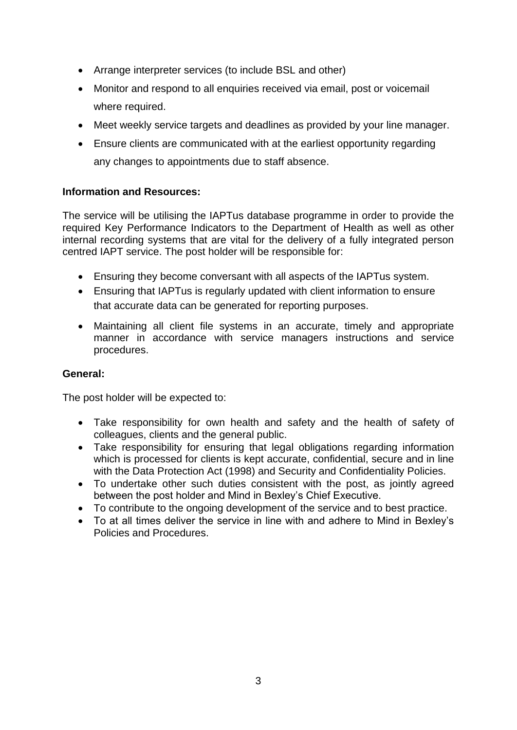- Arrange interpreter services (to include BSL and other)
- Monitor and respond to all enquiries received via email, post or voicemail where required.
- Meet weekly service targets and deadlines as provided by your line manager.
- Ensure clients are communicated with at the earliest opportunity regarding any changes to appointments due to staff absence.

## **Information and Resources:**

The service will be utilising the IAPTus database programme in order to provide the required Key Performance Indicators to the Department of Health as well as other internal recording systems that are vital for the delivery of a fully integrated person centred IAPT service. The post holder will be responsible for:

- Ensuring they become conversant with all aspects of the IAPTus system.
- Ensuring that IAPTus is regularly updated with client information to ensure that accurate data can be generated for reporting purposes.
- Maintaining all client file systems in an accurate, timely and appropriate manner in accordance with service managers instructions and service procedures.

#### **General:**

The post holder will be expected to:

- Take responsibility for own health and safety and the health of safety of colleagues, clients and the general public.
- Take responsibility for ensuring that legal obligations regarding information which is processed for clients is kept accurate, confidential, secure and in line with the Data Protection Act (1998) and Security and Confidentiality Policies.
- To undertake other such duties consistent with the post, as jointly agreed between the post holder and Mind in Bexley's Chief Executive.
- To contribute to the ongoing development of the service and to best practice.
- To at all times deliver the service in line with and adhere to Mind in Bexley's Policies and Procedures.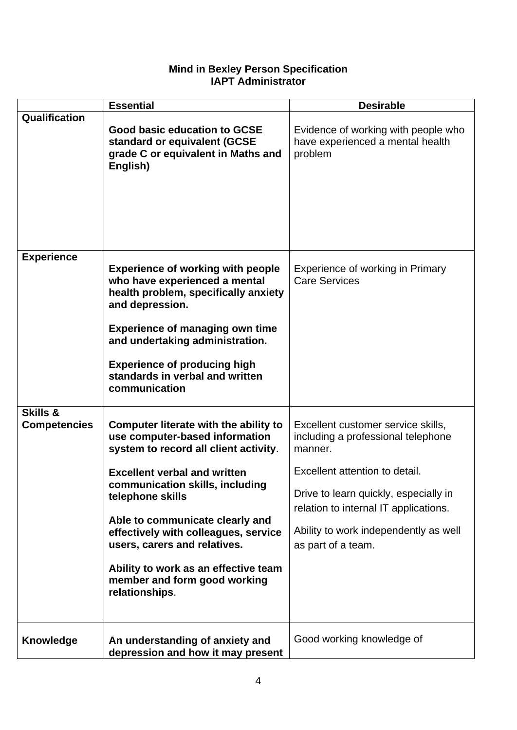## **Mind in Bexley Person Specification IAPT Administrator**

|                                 | <b>Essential</b>                                                                                                                                                                                                                                                                                                                                                                                                    | <b>Desirable</b>                                                                                                                                                                                                                                                       |
|---------------------------------|---------------------------------------------------------------------------------------------------------------------------------------------------------------------------------------------------------------------------------------------------------------------------------------------------------------------------------------------------------------------------------------------------------------------|------------------------------------------------------------------------------------------------------------------------------------------------------------------------------------------------------------------------------------------------------------------------|
| Qualification                   | Good basic education to GCSE<br>standard or equivalent (GCSE<br>grade C or equivalent in Maths and<br>English)                                                                                                                                                                                                                                                                                                      | Evidence of working with people who<br>have experienced a mental health<br>problem                                                                                                                                                                                     |
| <b>Experience</b>               | <b>Experience of working with people</b><br>who have experienced a mental<br>health problem, specifically anxiety<br>and depression.<br><b>Experience of managing own time</b><br>and undertaking administration.<br><b>Experience of producing high</b><br>standards in verbal and written<br>communication                                                                                                        | Experience of working in Primary<br><b>Care Services</b>                                                                                                                                                                                                               |
| Skills &<br><b>Competencies</b> | Computer literate with the ability to<br>use computer-based information<br>system to record all client activity.<br><b>Excellent verbal and written</b><br>communication skills, including<br>telephone skills<br>Able to communicate clearly and<br>effectively with colleagues, service<br>users, carers and relatives.<br>Ability to work as an effective team<br>member and form good working<br>relationships. | Excellent customer service skills,<br>including a professional telephone<br>manner.<br>Excellent attention to detail.<br>Drive to learn quickly, especially in<br>relation to internal IT applications.<br>Ability to work independently as well<br>as part of a team. |
| <b>Knowledge</b>                | An understanding of anxiety and<br>depression and how it may present                                                                                                                                                                                                                                                                                                                                                | Good working knowledge of                                                                                                                                                                                                                                              |